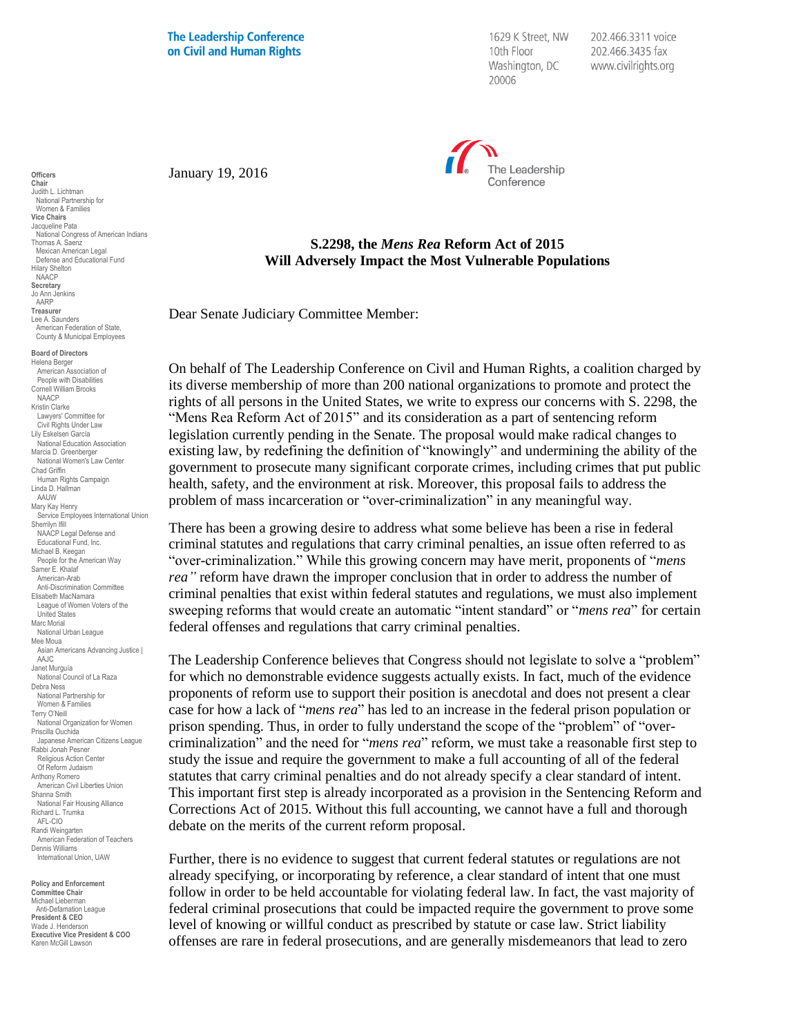**The Leadership Conference** on Civil and Human Rights

1629 K Street, NW 10th Floor Washington, DC 20006

202.466.3311 voice 202.466.3435 fax www.civilrights.org



January 19, 2016

## **S.2298, the** *Mens Rea* **Reform Act of 2015 Will Adversely Impact the Most Vulnerable Populations**

Dear Senate Judiciary Committee Member:

On behalf of The Leadership Conference on Civil and Human Rights, a coalition charged by its diverse membership of more than 200 national organizations to promote and protect the rights of all persons in the United States, we write to express our concerns with S. 2298, the "Mens Rea Reform Act of 2015" and its consideration as a part of sentencing reform legislation currently pending in the Senate. The proposal would make radical changes to existing law, by redefining the definition of "knowingly" and undermining the ability of the government to prosecute many significant corporate crimes, including crimes that put public health, safety, and the environment at risk. Moreover, this proposal fails to address the problem of mass incarceration or "over-criminalization" in any meaningful way.

There has been a growing desire to address what some believe has been a rise in federal criminal statutes and regulations that carry criminal penalties, an issue often referred to as "over-criminalization." While this growing concern may have merit, proponents of "*mens rea"* reform have drawn the improper conclusion that in order to address the number of criminal penalties that exist within federal statutes and regulations, we must also implement sweeping reforms that would create an automatic "intent standard" or "*mens rea*" for certain federal offenses and regulations that carry criminal penalties.

The Leadership Conference believes that Congress should not legislate to solve a "problem" for which no demonstrable evidence suggests actually exists. In fact, much of the evidence proponents of reform use to support their position is anecdotal and does not present a clear case for how a lack of "*mens rea*" has led to an increase in the federal prison population or prison spending. Thus, in order to fully understand the scope of the "problem" of "overcriminalization" and the need for "*mens rea*" reform, we must take a reasonable first step to study the issue and require the government to make a full accounting of all of the federal statutes that carry criminal penalties and do not already specify a clear standard of intent. This important first step is already incorporated as a provision in the Sentencing Reform and Corrections Act of 2015. Without this full accounting, we cannot have a full and thorough debate on the merits of the current reform proposal.

Further, there is no evidence to suggest that current federal statutes or regulations are not already specifying, or incorporating by reference, a clear standard of intent that one must follow in order to be held accountable for violating federal law. In fact, the vast majority of federal criminal prosecutions that could be impacted require the government to prove some level of knowing or willful conduct as prescribed by statute or case law. Strict liability offenses are rare in federal prosecutions, and are generally misdemeanors that lead to zero

National Congress of American Indians Thomas A. Saenz Mexican American Legal Defense and Educational Fund Hilary Shelton NAACP **Secretary** Jo Ann Jenkins AARP **Treasurer** Lee A. Saunders American Federation of State, County & Municipal Employees **Board of Directors** Helena Berger American Association of People with Disabilities Cornell William Brooks NAACP Kristin Clarke Lawyers' Committee for Civil Rights Under Law Lily Eskelsen García National Education Association Marcia D. Greenberger National Women's Law Center Chad Griffin Human Rights Campaign Linda D. Hallman AAUW Mary Kay Henry Service Employees International Union Sherrilyn Ifill NAACP Legal Defense and Educational Fund, Inc. Michael B. Keegan People for the American Way Samer E. Khalaf American-Arab Anti-Discrimination Committee Elisabeth MacNamara League of Women Voters of the United States Marc Morial National Urban League Mee Moua Asian Americans Advancing Justice | AAJC Janet Murguía National Council of La Raza Debra Ness

**Officers Chair** Judith L. Lichtman National Partnership for Women & Families **Vice Chairs** Jacqueline Pata

National Partnership for Women & Families Terry O'Neill National Organization for Women Priscilla Ouchida Japanese American Citizens League Rabbi Jonah Pesner Religious Action Center Of Reform Judaism Anthony Romero American Civil Liberties Union Shanna Smith National Fair Housing Alliance Richard L. Trumka AFL-CIO Randi Weingarten American Federation of Teachers Dennis Williams International Union, UAW

**Policy and Enforcement Committee Chair** Michael Lieberman Anti-Defamation League **President & CEO** Wade J. Henderson **Executive Vice President & COO** Karen McGill Lawson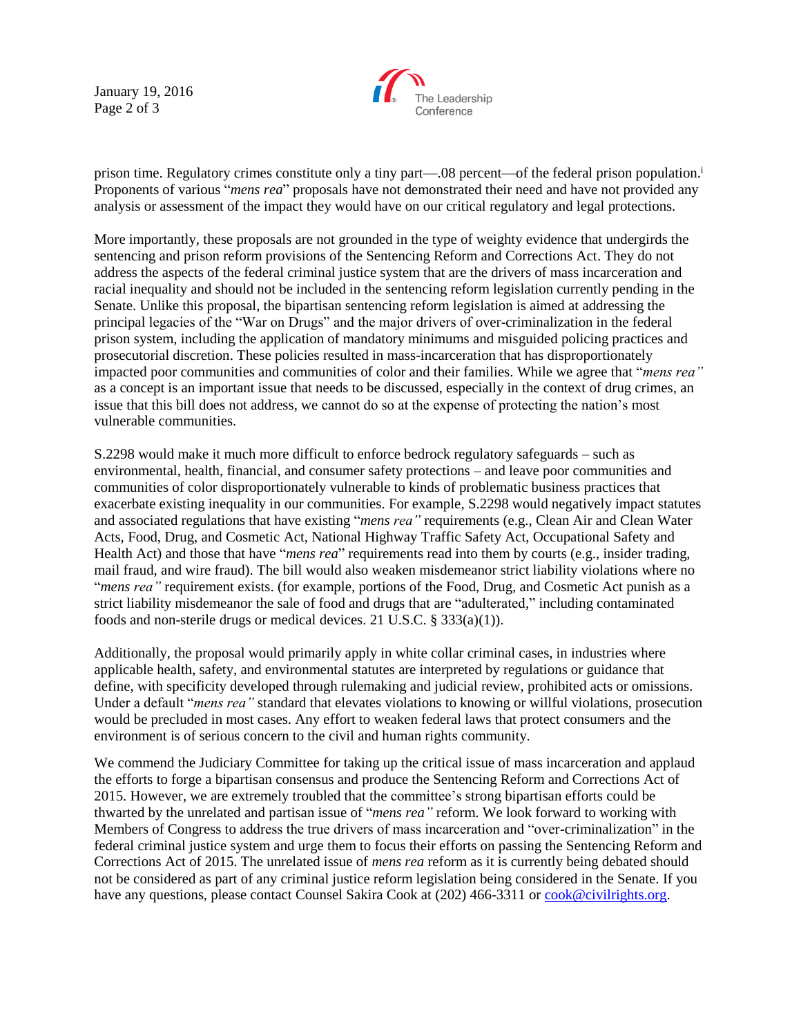January 19, 2016 Page 2 of 3



prison time. Regulatory crimes constitute only a tiny part—.08 percent—of the federal prison population.<sup>i</sup> Proponents of various "*mens rea*" proposals have not demonstrated their need and have not provided any analysis or assessment of the impact they would have on our critical regulatory and legal protections.

More importantly, these proposals are not grounded in the type of weighty evidence that undergirds the sentencing and prison reform provisions of the Sentencing Reform and Corrections Act. They do not address the aspects of the federal criminal justice system that are the drivers of mass incarceration and racial inequality and should not be included in the sentencing reform legislation currently pending in the Senate. Unlike this proposal, the bipartisan sentencing reform legislation is aimed at addressing the principal legacies of the "War on Drugs" and the major drivers of over-criminalization in the federal prison system, including the application of mandatory minimums and misguided policing practices and prosecutorial discretion. These policies resulted in mass-incarceration that has disproportionately impacted poor communities and communities of color and their families. While we agree that "*mens rea"* as a concept is an important issue that needs to be discussed, especially in the context of drug crimes, an issue that this bill does not address, we cannot do so at the expense of protecting the nation's most vulnerable communities.

S.2298 would make it much more difficult to enforce bedrock regulatory safeguards – such as environmental, health, financial, and consumer safety protections – and leave poor communities and communities of color disproportionately vulnerable to kinds of problematic business practices that exacerbate existing inequality in our communities. For example, S.2298 would negatively impact statutes and associated regulations that have existing "*mens rea"* requirements (e.g., Clean Air and Clean Water Acts, Food, Drug, and Cosmetic Act, National Highway Traffic Safety Act, Occupational Safety and Health Act) and those that have "*mens rea*" requirements read into them by courts (e.g., insider trading, mail fraud, and wire fraud). The bill would also weaken misdemeanor strict liability violations where no "*mens rea"* requirement exists. (for example, portions of the Food, Drug, and Cosmetic Act punish as a strict liability misdemeanor the sale of food and drugs that are "adulterated," including contaminated foods and non-sterile drugs or medical devices. 21 U.S.C. § 333(a)(1)).

Additionally, the proposal would primarily apply in white collar criminal cases, in industries where applicable health, safety, and environmental statutes are interpreted by regulations or guidance that define, with specificity developed through rulemaking and judicial review, prohibited acts or omissions. Under a default "*mens rea"* standard that elevates violations to knowing or willful violations, prosecution would be precluded in most cases. Any effort to weaken federal laws that protect consumers and the environment is of serious concern to the civil and human rights community.

We commend the Judiciary Committee for taking up the critical issue of mass incarceration and applaud the efforts to forge a bipartisan consensus and produce the Sentencing Reform and Corrections Act of 2015. However, we are extremely troubled that the committee's strong bipartisan efforts could be thwarted by the unrelated and partisan issue of "*mens rea"* reform. We look forward to working with Members of Congress to address the true drivers of mass incarceration and "over-criminalization" in the federal criminal justice system and urge them to focus their efforts on passing the Sentencing Reform and Corrections Act of 2015. The unrelated issue of *mens rea* reform as it is currently being debated should not be considered as part of any criminal justice reform legislation being considered in the Senate. If you have any questions, please contact Counsel Sakira Cook at (202) 466-3311 or [cook@civilrights.org.](mailto:cook@civilrights.org)